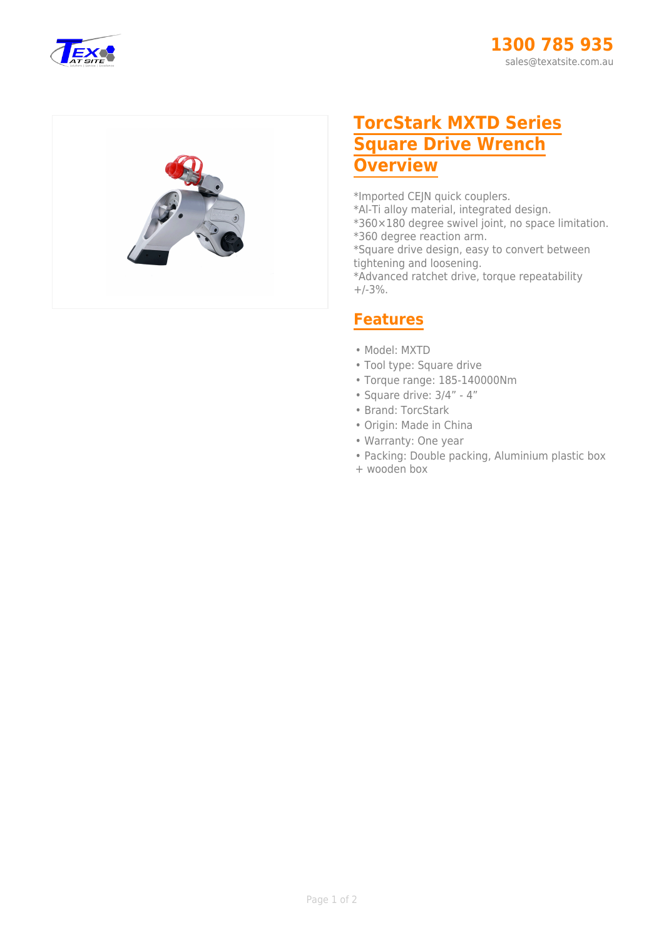



## **TorcStark MXTD Series Square Drive Wrench Overview**

\*Imported CEJN quick couplers.

- \*Al-Ti alloy material, integrated design.
- \*360×180 degree swivel joint, no space limitation.
- \*360 degree reaction arm.

\*Square drive design, easy to convert between tightening and loosening.

\*Advanced ratchet drive, torque repeatability  $+/-3%$ .

## **Features**

- Model: MXTD
- Tool type: Square drive
- Torque range: 185-140000Nm
- Square drive: 3/4" 4"
- Brand: TorcStark
- Origin: Made in China
- Warranty: One year
- Packing: Double packing, Aluminium plastic box
- + wooden box